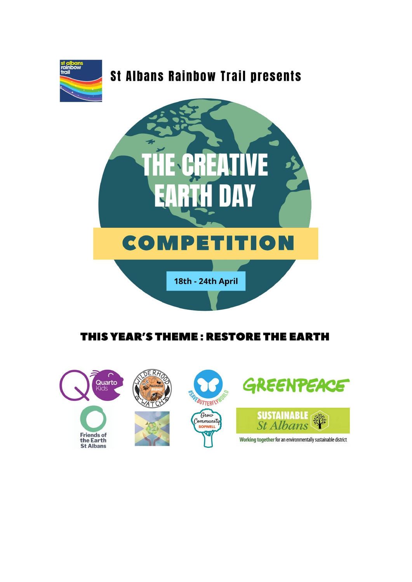

## **THIS YEAR'S THEME: RESTORE THE EARTH**